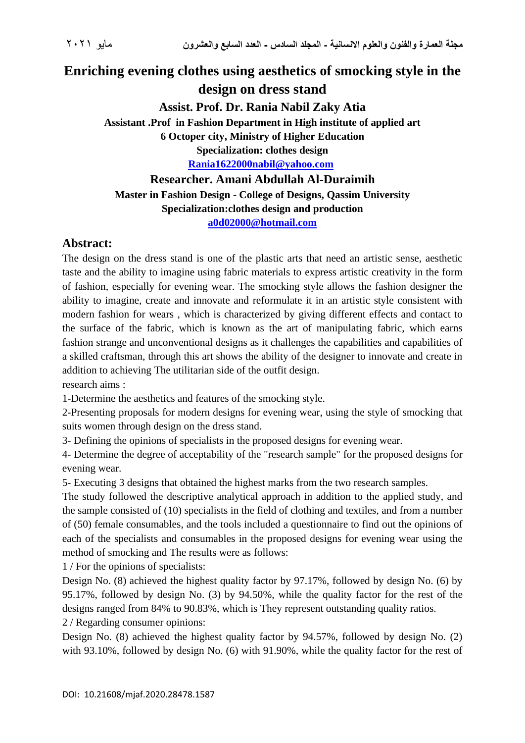## **Enriching evening clothes using aesthetics of smocking style in the design on dress stand**

**Assist. Prof. Dr. Rania Nabil Zaky Atia Assistant .Prof in Fashion Department in High institute of applied art 6 Octoper city, Ministry of Higher Education Specialization: clothes design**

**[Rania1622000nabil@yahoo.com](mailto:Rania1622000nabil@yahoo.com)** 

**Researcher. Amani Abdullah Al-Duraimih**

**Master in Fashion Design - College of Designs, Qassim University Specialization:clothes design and production [a0d02000@hotmail.com](mailto:a0d02000@hotmail.com)**

## **Abstract:**

The design on the dress stand is one of the plastic arts that need an artistic sense, aesthetic taste and the ability to imagine using fabric materials to express artistic creativity in the form of fashion, especially for evening wear. The smocking style allows the fashion designer the ability to imagine, create and innovate and reformulate it in an artistic style consistent with modern fashion for wears , which is characterized by giving different effects and contact to the surface of the fabric, which is known as the art of manipulating fabric, which earns fashion strange and unconventional designs as it challenges the capabilities and capabilities of a skilled craftsman, through this art shows the ability of the designer to innovate and create in addition to achieving The utilitarian side of the outfit design.

research aims :

1-Determine the aesthetics and features of the smocking style.

2-Presenting proposals for modern designs for evening wear, using the style of smocking that suits women through design on the dress stand.

3- Defining the opinions of specialists in the proposed designs for evening wear.

4- Determine the degree of acceptability of the "research sample" for the proposed designs for evening wear.

5- Executing 3 designs that obtained the highest marks from the two research samples.

The study followed the descriptive analytical approach in addition to the applied study, and the sample consisted of (10) specialists in the field of clothing and textiles, and from a number of (50) female consumables, and the tools included a questionnaire to find out the opinions of each of the specialists and consumables in the proposed designs for evening wear using the method of smocking and The results were as follows:

1 / For the opinions of specialists:

Design No. (8) achieved the highest quality factor by 97.17%, followed by design No. (6) by 95.17%, followed by design No. (3) by 94.50%, while the quality factor for the rest of the designs ranged from 84% to 90.83%, which is They represent outstanding quality ratios.

2 / Regarding consumer opinions:

Design No. (8) achieved the highest quality factor by 94.57%, followed by design No. (2) with 93.10%, followed by design No. (6) with 91.90%, while the quality factor for the rest of